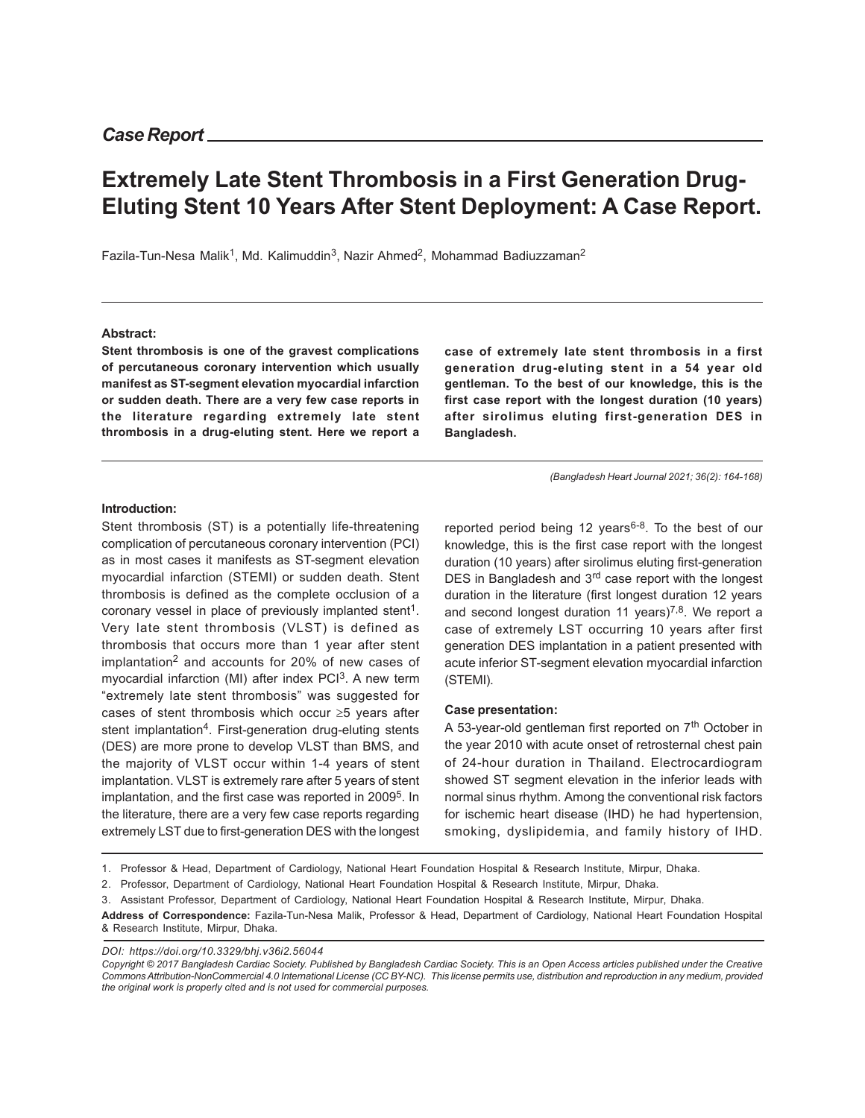# **Extremely Late Stent Thrombosis in a First Generation Drug-Eluting Stent 10 Years After Stent Deployment: A Case Report.**

Fazila-Tun-Nesa Malik<sup>1</sup>, Md. Kalimuddin<sup>3</sup>, Nazir Ahmed<sup>2</sup>, Mohammad Badiuzzaman<sup>2</sup>

#### **Abstract:**

**Stent thrombosis is one of the gravest complications of percutaneous coronary intervention which usually manifest as ST-segment elevation myocardial infarction or sudden death. There are a very few case reports in the literature regarding extremely late stent thrombosis in a drug-eluting stent. Here we report a** **case of extremely late stent thrombosis in a first generation drug-eluting stent in a 54 year old gentleman. To the best of our knowledge, this is the first case report with the longest duration (10 years) after sirolimus eluting first-generation DES in Bangladesh.**

*(Bangladesh Heart Journal 2021; 36(2): 164-168)*

#### **Introduction:**

Stent thrombosis (ST) is a potentially life-threatening complication of percutaneous coronary intervention (PCI) as in most cases it manifests as ST-segment elevation myocardial infarction (STEMI) or sudden death. Stent thrombosis is defined as the complete occlusion of a coronary vessel in place of previously implanted stent<sup>1</sup>. Very late stent thrombosis (VLST) is defined as thrombosis that occurs more than 1 year after stent implantation<sup>2</sup> and accounts for 20% of new cases of myocardial infarction (MI) after index PCI<sup>3</sup>. A new term "extremely late stent thrombosis" was suggested for cases of stent thrombosis which occur ≥5 years after stent implantation<sup>4</sup>. First-generation drug-eluting stents (DES) are more prone to develop VLST than BMS, and the majority of VLST occur within 1-4 years of stent implantation. VLST is extremely rare after 5 years of stent implantation, and the first case was reported in 2009<sup>5</sup>. In the literature, there are a very few case reports regarding extremely LST due to first-generation DES with the longest

reported period being 12 years<sup>6-8</sup>. To the best of our knowledge, this is the first case report with the longest duration (10 years) after sirolimus eluting first-generation DES in Bangladesh and 3<sup>rd</sup> case report with the longest duration in the literature (first longest duration 12 years and second longest duration 11 years)<sup>7,8</sup>. We report a case of extremely LST occurring 10 years after first generation DES implantation in a patient presented with acute inferior ST-segment elevation myocardial infarction (STEMI).

#### **Case presentation:**

A 53-year-old gentleman first reported on 7<sup>th</sup> October in the year 2010 with acute onset of retrosternal chest pain of 24-hour duration in Thailand. Electrocardiogram showed ST segment elevation in the inferior leads with normal sinus rhythm. Among the conventional risk factors for ischemic heart disease (IHD) he had hypertension, smoking, dyslipidemia, and family history of IHD.

**Address of Correspondence:** Fazila-Tun-Nesa Malik, Professor & Head, Department of Cardiology, National Heart Foundation Hospital & Research Institute, Mirpur, Dhaka.

*DOI: https://doi.org/10.3329/bhj.v36i2.56044*

*Copyright © 2017 Bangladesh Cardiac Society. Published by Bangladesh Cardiac Society. This is an Open Access articles published under the Creative Commons Attribution-NonCommercial 4.0 International License (CC BY-NC). This license permits use, distribution and reproduction in any medium, provided the original work is properly cited and is not used for commercial purposes.*

<sup>1.</sup> Professor & Head, Department of Cardiology, National Heart Foundation Hospital & Research Institute, Mirpur, Dhaka.

<sup>2.</sup> Professor, Department of Cardiology, National Heart Foundation Hospital & Research Institute, Mirpur, Dhaka.

<sup>3.</sup> Assistant Professor, Department of Cardiology, National Heart Foundation Hospital & Research Institute, Mirpur, Dhaka.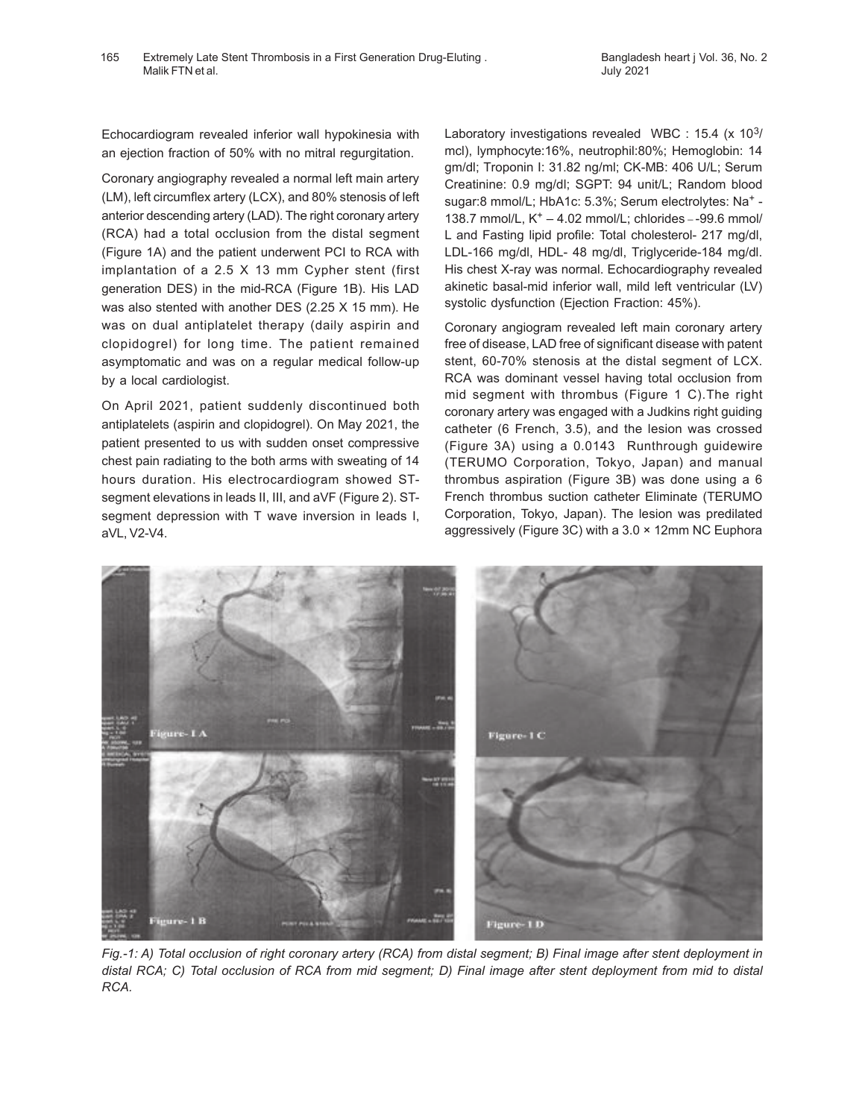Echocardiogram revealed inferior wall hypokinesia with an ejection fraction of 50% with no mitral regurgitation.

Coronary angiography revealed a normal left main artery (LM), left circumflex artery (LCX), and 80% stenosis of left anterior descending artery (LAD). The right coronary artery (RCA) had a total occlusion from the distal segment (Figure 1A) and the patient underwent PCI to RCA with implantation of a 2.5 X 13 mm Cypher stent (first generation DES) in the mid-RCA (Figure 1B). His LAD was also stented with another DES (2.25 X 15 mm). He was on dual antiplatelet therapy (daily aspirin and clopidogrel) for long time. The patient remained asymptomatic and was on a regular medical follow-up by a local cardiologist.

On April 2021, patient suddenly discontinued both antiplatelets (aspirin and clopidogrel). On May 2021, the patient presented to us with sudden onset compressive chest pain radiating to the both arms with sweating of 14 hours duration. His electrocardiogram showed STsegment elevations in leads II, III, and aVF (Figure 2). STsegment depression with T wave inversion in leads I, aVL, V2-V4.

Laboratory investigations revealed WBC : 15.4 (x 10<sup>3</sup>/ mcl), lymphocyte:16%, neutrophil:80%; Hemoglobin: 14 gm/dl; Troponin I: 31.82 ng/ml; CK-MB: 406 U/L; Serum Creatinine: 0.9 mg/dl; SGPT: 94 unit/L; Random blood sugar:8 mmol/L; HbA1c: 5.3%; Serum electrolytes: Na<sup>+</sup> -138.7 mmol/L,  $K^+ - 4.02$  mmol/L; chlorides  $-99.6$  mmol/ L and Fasting lipid profile: Total cholesterol- 217 mg/dl, LDL-166 mg/dl, HDL- 48 mg/dl, Triglyceride-184 mg/dl. His chest X-ray was normal. Echocardiography revealed akinetic basal-mid inferior wall, mild left ventricular (LV) systolic dysfunction (Ejection Fraction: 45%).

Coronary angiogram revealed left main coronary artery free of disease, LAD free of significant disease with patent stent, 60-70% stenosis at the distal segment of LCX. RCA was dominant vessel having total occlusion from mid segment with thrombus (Figure 1 C).The right coronary artery was engaged with a Judkins right guiding catheter (6 French, 3.5), and the lesion was crossed (Figure 3A) using a 0.0143 Runthrough guidewire (TERUMO Corporation, Tokyo, Japan) and manual thrombus aspiration (Figure 3B) was done using a 6 French thrombus suction catheter Eliminate (TERUMO Corporation, Tokyo, Japan). The lesion was predilated aggressively (Figure 3C) with a 3.0 × 12mm NC Euphora



*Fig.-1: A) Total occlusion of right coronary artery (RCA) from distal segment; B) Final image after stent deployment in distal RCA; C) Total occlusion of RCA from mid segment; D) Final image after stent deployment from mid to distal RCA.*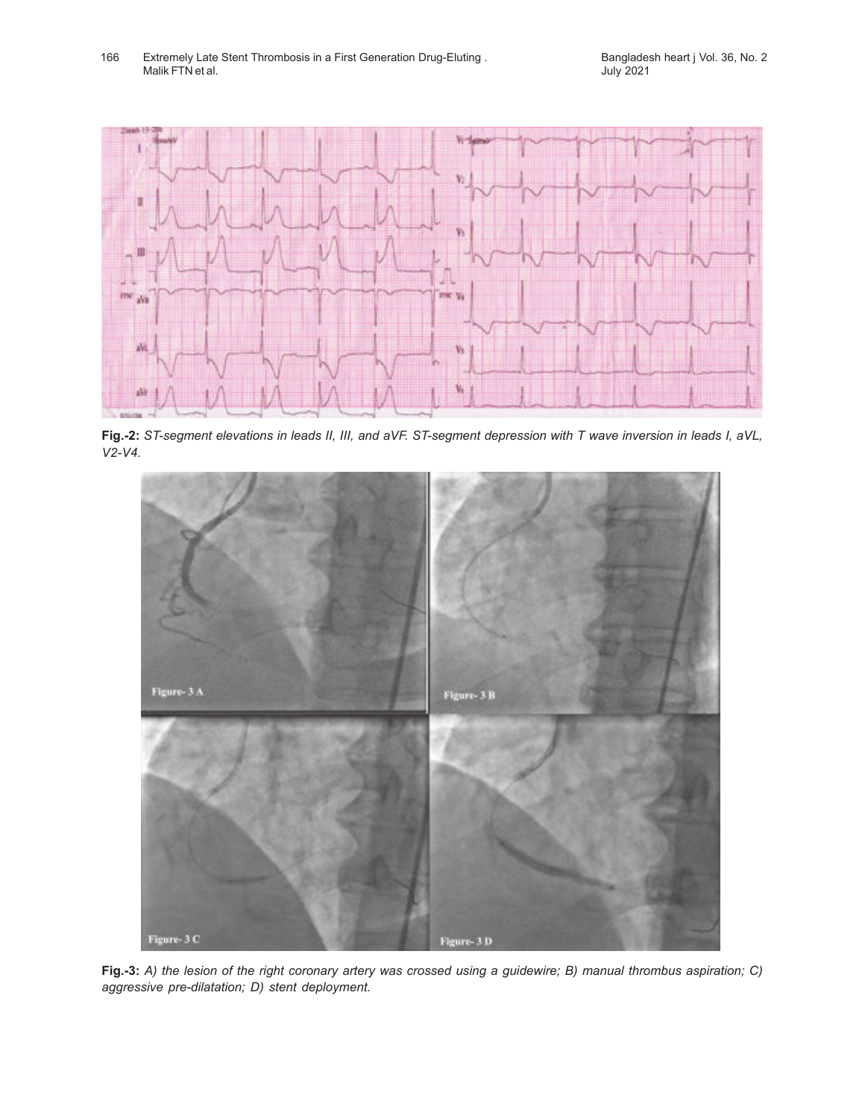166 Extremely Late Stent Thrombosis in a First Generation Drug-Eluting . Bangladesh heart j Vol. 36, No. 2 Malik FTN et al.



**Fig.-2:** *ST-segment elevations in leads II, III, and aVF. ST-segment depression with T wave inversion in leads I, aVL, V2-V4.*



**Fig.-3:** *A) the lesion of the right coronary artery was crossed using a guidewire; B) manual thrombus aspiration; C) aggressive pre-dilatation; D) stent deployment.*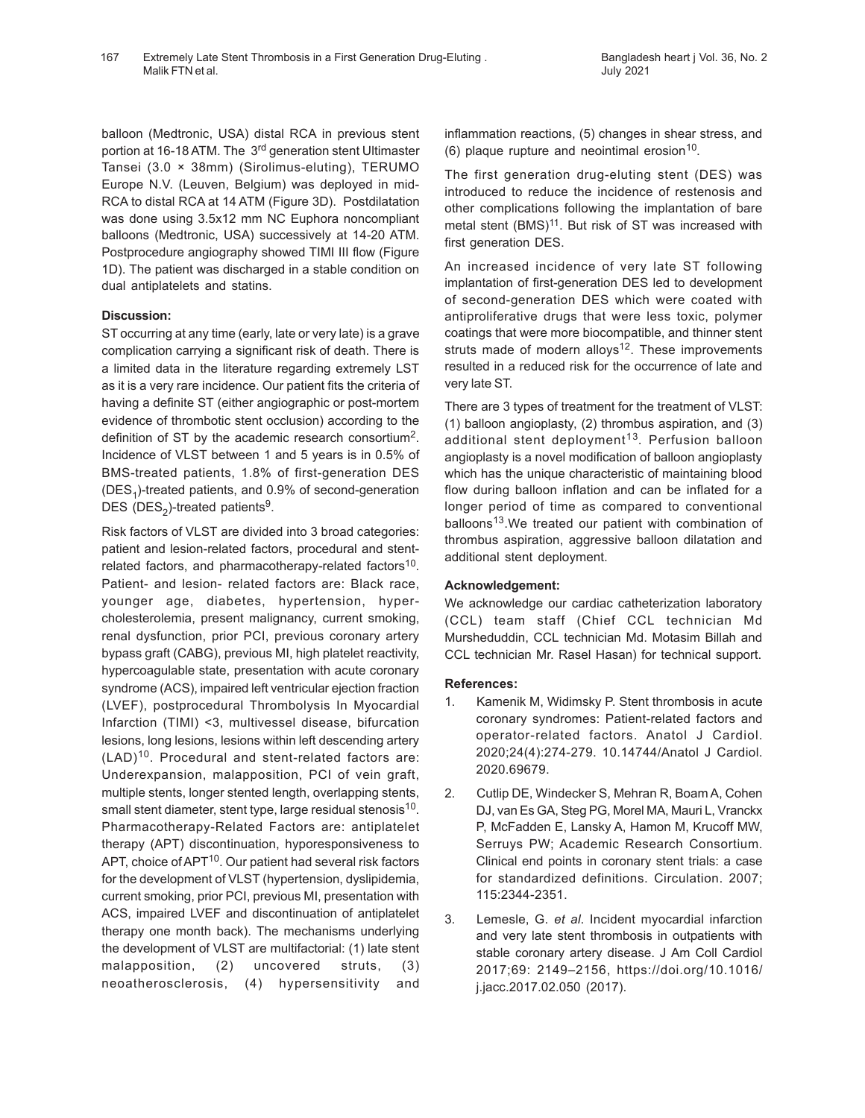balloon (Medtronic, USA) distal RCA in previous stent portion at 16-18 ATM. The 3<sup>rd</sup> generation stent Ultimaster Tansei (3.0 × 38mm) (Sirolimus-eluting), TERUMO Europe N.V. (Leuven, Belgium) was deployed in mid-RCA to distal RCA at 14 ATM (Figure 3D). Postdilatation was done using 3.5x12 mm NC Euphora noncompliant balloons (Medtronic, USA) successively at 14-20 ATM. Postprocedure angiography showed TIMI III flow (Figure 1D). The patient was discharged in a stable condition on dual antiplatelets and statins.

## **Discussion:**

ST occurring at any time (early, late or very late) is a grave complication carrying a significant risk of death. There is a limited data in the literature regarding extremely LST as it is a very rare incidence. Our patient fits the criteria of having a definite ST (either angiographic or post-mortem evidence of thrombotic stent occlusion) according to the definition of ST by the academic research consortium<sup>2</sup>. Incidence of VLST between 1 and 5 years is in 0.5% of BMS-treated patients, 1.8% of first-generation DES (DES<sub>1</sub>)-treated patients, and 0.9% of second-generation DES (DES<sub>2</sub>)-treated patients<sup>9</sup>.

Risk factors of VLST are divided into 3 broad categories: patient and lesion-related factors, procedural and stentrelated factors, and pharmacotherapy-related factors<sup>10</sup>. Patient- and lesion- related factors are: Black race, younger age, diabetes, hypertension, hypercholesterolemia, present malignancy, current smoking, renal dysfunction, prior PCI, previous coronary artery bypass graft (CABG), previous MI, high platelet reactivity, hypercoagulable state, presentation with acute coronary syndrome (ACS), impaired left ventricular ejection fraction (LVEF), postprocedural Thrombolysis In Myocardial Infarction (TIMI) <3, multivessel disease, bifurcation lesions, long lesions, lesions within left descending artery (LAD)10. Procedural and stent-related factors are: Underexpansion, malapposition, PCI of vein graft, multiple stents, longer stented length, overlapping stents, small stent diameter, stent type, large residual stenosis $^{10}$ . Pharmacotherapy-Related Factors are: antiplatelet therapy (APT) discontinuation, hyporesponsiveness to APT, choice of APT<sup>10</sup>. Our patient had several risk factors for the development of VLST (hypertension, dyslipidemia, current smoking, prior PCI, previous MI, presentation with ACS, impaired LVEF and discontinuation of antiplatelet therapy one month back). The mechanisms underlying the development of VLST are multifactorial: (1) late stent malapposition, (2) uncovered struts, (3) neoatherosclerosis, (4) hypersensitivity and

inflammation reactions, (5) changes in shear stress, and  $(6)$  plaque rupture and neointimal erosion<sup>10</sup>.

The first generation drug-eluting stent (DES) was introduced to reduce the incidence of restenosis and other complications following the implantation of bare metal stent (BMS)<sup>11</sup>. But risk of ST was increased with first generation DES.

An increased incidence of very late ST following implantation of first-generation DES led to development of second-generation DES which were coated with antiproliferative drugs that were less toxic, polymer coatings that were more biocompatible, and thinner stent struts made of modern alloys $12$ . These improvements resulted in a reduced risk for the occurrence of late and very late ST.

There are 3 types of treatment for the treatment of VLST: (1) balloon angioplasty, (2) thrombus aspiration, and (3) additional stent deployment<sup>13</sup>. Perfusion balloon angioplasty is a novel modification of balloon angioplasty which has the unique characteristic of maintaining blood flow during balloon inflation and can be inflated for a longer period of time as compared to conventional balloons<sup>13</sup>. We treated our patient with combination of thrombus aspiration, aggressive balloon dilatation and additional stent deployment.

## **Acknowledgement:**

We acknowledge our cardiac catheterization laboratory (CCL) team staff (Chief CCL technician Md Mursheduddin, CCL technician Md. Motasim Billah and CCL technician Mr. Rasel Hasan) for technical support.

## **References:**

- 1. Kamenik M, Widimsky P. Stent thrombosis in acute coronary syndromes: Patient-related factors and operator-related factors. Anatol J Cardiol. 2020;24(4):274-279. 10.14744/Anatol J Cardiol. 2020.69679.
- 2. Cutlip DE, Windecker S, Mehran R, Boam A, Cohen DJ, van Es GA, Steg PG, Morel MA, Mauri L, Vranckx P, McFadden E, Lansky A, Hamon M, Krucoff MW, Serruys PW; Academic Research Consortium. Clinical end points in coronary stent trials: a case for standardized definitions. Circulation. 2007; 115:2344-2351.
- 3. Lemesle, G. *et al*. Incident myocardial infarction and very late stent thrombosis in outpatients with stable coronary artery disease. J Am Coll Cardiol 2017;69: 2149–2156, https://doi.org/10.1016/ j.jacc.2017.02.050 (2017).